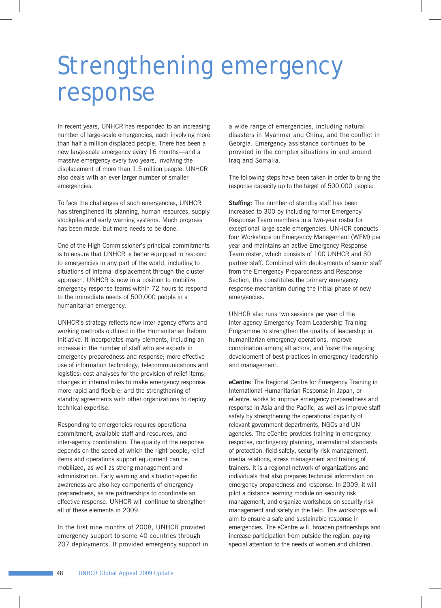## Strengthening emergency response

In recent years, UNHCR has responded to an increasing number of large-scale emergencies, each involving more than half a million displaced people. There has been a new large-scale emergency every 16 months—and a massive emergency every two years, involving the displacement of more than 1.5 million people. UNHCR also deals with an ever larger number of smaller emergencies.

To face the challenges of such emergencies, UNHCR has strengthened its planning, human resources, supply stockpiles and early warning systems. Much progress has been made, but more needs to be done.

One of the High Commissioner's principal commitments is to ensure that UNHCR is better equipped to respond to emergencies in any part of the world, including to situations of internal displacement through the cluster approach. UNHCR is now in a position to mobilize emergency response teams within 72 hours to respond to the immediate needs of 500,000 people in a humanitarian emergency.

UNHCR's strategy reflects new inter-agency efforts and working methods outlined in the Humanitarian Reform Initiative. It incorporates many elements, including an increase in the number of staff who are experts in emergency preparedness and response; more effective use of information technology, telecommunications and logistics; cost analyses for the provision of relief items; changes in internal rules to make emergency response more rapid and flexible; and the strengthening of standby agreements with other organizations to deploy technical expertise.

Responding to emergencies requires operational commitment, available staff and resources, and inter-agency coordination. The quality of the response depends on the speed at which the right people, relief items and operations support equipment can be mobilized, as well as strong management and administration. Early warning and situation-specific awareness are also key components of emergency preparedness, as are partnerships to coordinate an effective response. UNHCR will continue to strengthen all of these elements in 2009.

In the first nine months of 2008, UNHCR provided emergency support to some 40 countries through 207 deployments. It provided emergency support in a wide range of emergencies, including natural disasters in Myanmar and China, and the conflict in Georgia. Emergency assistance continues to be provided in the complex situations in and around Iraq and Somalia.

The following steps have been taken in order to bring the response capacity up to the target of 500,000 people:

**Staffing:** The number of standby staff has been increased to 300 by including former Emergency Response Team members in a two-year roster for exceptional large-scale emergencies. UNHCR conducts four Workshops on Emergency Management (WEM) per year and maintains an active Emergency Response Team roster, which consists of 100 UNHCR and 30 partner staff. Combined with deployments of senior staff from the Emergency Preparedness and Response Section, this constitutes the primary emergency response mechanism during the initial phase of new emergencies.

UNHCR also runs two sessions per year of the inter-agency Emergency Team Leadership Training Programme to strengthen the quality of leadership in humanitarian emergency operations, improve coordination among all actors, and foster the ongoing development of best practices in emergency leadership and management.

**eCentre:** The Regional Centre for Emergency Training in International Humanitarian Response in Japan, or eCentre, works to improve emergency preparedness and response in Asia and the Pacific, as well as improve staff safety by strengthening the operational capacity of relevant government departments, NGOs and UN agencies. The eCentre provides training in emergency response, contingency planning, international standards of protection, field safety, security risk management, media relations, stress management and training of trainers. It is a regional network of organizations and individuals that also prepares technical information on emergency preparedness and response. In 2009, it will pilot a distance learning module on security risk management, and organize workshops on security risk management and safety in the field. The workshops will aim to ensure a safe and sustainable response in emergencies. The eCentre will broaden partnerships and increase participation from outside the region, paying special attention to the needs of women and children.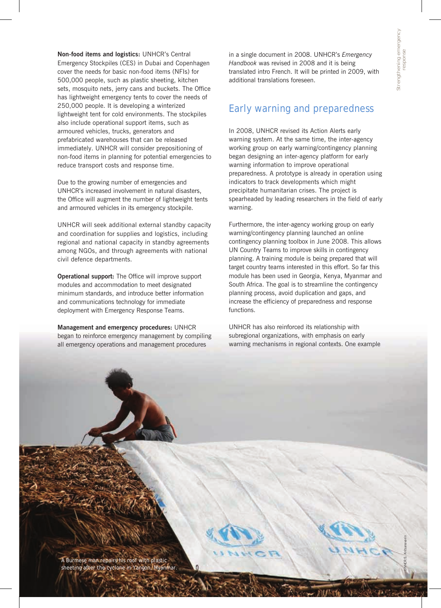*UNHCR/S. Kritsanavarin*

**Non-food items and logistics:** UNHCR's Central Emergency Stockpiles (CES) in Dubai and Copenhagen cover the needs for basic non-food items (NFIs) for 500,000 people, such as plastic sheeting, kitchen sets, mosquito nets, jerry cans and buckets. The Office has lightweight emergency tents to cover the needs of 250,000 people. It is developing a winterized lightweight tent for cold environments. The stockpiles also include operational support items, such as armoured vehicles, trucks, generators and prefabricated warehouses that can be released immediately. UNHCR will consider prepositioning of non-food items in planning for potential emergencies to reduce transport costs and response time.

Due to the growing number of emergencies and UNHCR's increased involvement in natural disasters, the Office will augment the number of lightweight tents and armoured vehicles in its emergency stockpile.

UNHCR will seek additional external standby capacity and coordination for supplies and logistics, including regional and national capacity in standby agreements among NGOs, and through agreements with national civil defence departments.

**Operational support:** The Office will improve support modules and accommodation to meet designated minimum standards, and introduce better information and communications technology for immediate deployment with Emergency Response Teams.

**Management and emergency procedures:** UNHCR began to reinforce emergency management by compiling all emergency operations and management procedures

in a single document in 2008. UNHCR's *Emergency Handbook* was revised in 2008 and it is being translated intro French. It will be printed in 2009, with additional translations foreseen.

## Early warning and preparedness

In 2008, UNHCR revised its Action Alerts early warning system. At the same time, the inter-agency working group on early warning/contingency planning began designing an inter-agency platform for early warning information to improve operational preparedness. A prototype is already in operation using indicators to track developments which might precipitate humanitarian crises. The project is spearheaded by leading researchers in the field of early warning.

Furthermore, the inter-agency working group on early warning/contingency planning launched an online contingency planning toolbox in June 2008. This allows UN Country Teams to improve skills in contingency planning. A training module is being prepared that will target country teams interested in this effort. So far this module has been used in Georgia, Kenya, Myanmar and South Africa. The goal is to streamline the contingency planning process, avoid duplication and gaps, and increase the efficiency of preparedness and response functions.

UNHCR has also reinforced its relationship with subregional organizations, with emphasis on early warning mechanisms in regional contexts. One example

A Burmese man repairs his roof with plastic sheeting after the cyclone in Yangon, Myanmar.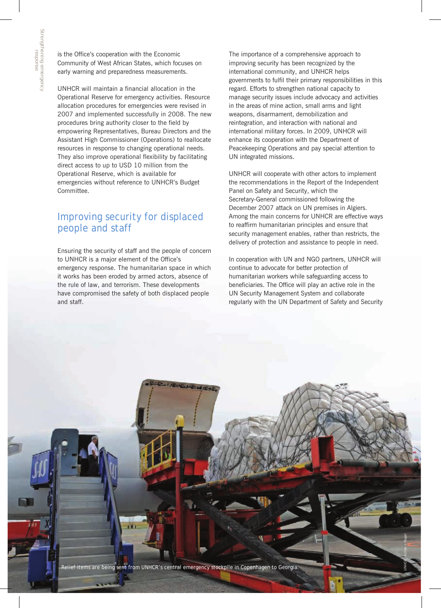is the Office's cooperation with the Economic Community of West African States, which focuses on early warning and preparedness measurements.

UNHCR will maintain a financial allocation in the Operational Reserve for emergency activities. Resource allocation procedures for emergencies were revised in 2007 and implemented successfully in 2008. The new procedures bring authority closer to the field by empowering Representatives, Bureau Directors and the Assistant High Commissioner (Operations) to reallocate resources in response to changing operational needs. They also improve operational flexibility by facilitating direct access to up to USD 10 million from the Operational Reserve, which is available for emergencies without reference to UNHCR's Budget Committee.

## Improving security for displaced people and staff

Ensuring the security of staff and the people of concern to UNHCR is a major element of the Office's emergency response. The humanitarian space in which it works has been eroded by armed actors, absence of the rule of law, and terrorism. These developments have compromised the safety of both displaced people and staff.

The importance of a comprehensive approach to improving security has been recognized by the international community, and UNHCR helps governments to fulfil their primary responsibilities in this regard. Efforts to strengthen national capacity to manage security issues include advocacy and activities in the areas of mine action, small arms and light weapons, disarmament, demobilization and reintegration, and interaction with national and international military forces. In 2009, UNHCR will enhance its cooperation with the Department of Peacekeeping Operations and pay special attention to UN integrated missions.

UNHCR will cooperate with other actors to implement the recommendations in the Report of the Independent Panel on Safety and Security, which the Secretary-General commissioned following the December 2007 attack on UN premises in Algiers. Among the main concerns for UNHCR are effective ways to reaffirm humanitarian principles and ensure that security management enables, rather than restricts, the delivery of protection and assistance to people in need.

In cooperation with UN and NGO partners, UNHCR will continue to advocate for better protection of humanitarian workers while safeguarding access to beneficiaries. The Office will play an active role in the UN Security Management System and collaborate regularly with the UN Department of Safety and Security